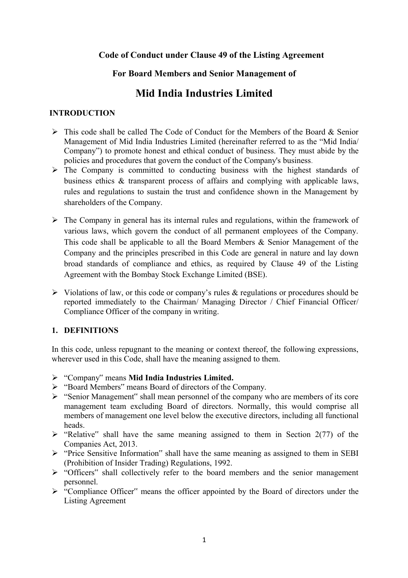# **Code of Conduct under Clause 49 of the Listing Agreement**

# **For Board Members and Senior Management of**

# **Mid India Industries Limited**

#### **INTRODUCTION**

- $\triangleright$  This code shall be called The Code of Conduct for the Members of the Board & Senior Management of Mid India Industries Limited (hereinafter referred to as the "Mid India/ Company") to promote honest and ethical conduct of business. They must abide by the policies and procedures that govern the conduct of the Company's business.
- $\triangleright$  The Company is committed to conducting business with the highest standards of business ethics & transparent process of affairs and complying with applicable laws, rules and regulations to sustain the trust and confidence shown in the Management by shareholders of the Company.
- $\triangleright$  The Company in general has its internal rules and regulations, within the framework of various laws, which govern the conduct of all permanent employees of the Company. This code shall be applicable to all the Board Members & Senior Management of the Company and the principles prescribed in this Code are general in nature and lay down broad standards of compliance and ethics, as required by Clause 49 of the Listing Agreement with the Bombay Stock Exchange Limited (BSE).
- $\triangleright$  Violations of law, or this code or company's rules & regulations or procedures should be reported immediately to the Chairman/ Managing Director / Chief Financial Officer/ Compliance Officer of the company in writing.

# **1. DEFINITIONS**

In this code, unless repugnant to the meaning or context thereof, the following expressions, wherever used in this Code, shall have the meaning assigned to them.

- "Company" means **Mid India Industries Limited.**
- "Board Members" means Board of directors of the Company.
- $\triangleright$  "Senior Management" shall mean personnel of the company who are members of its core management team excluding Board of directors. Normally, this would comprise all members of management one level below the executive directors, including all functional heads.
- $\triangleright$  "Relative" shall have the same meaning assigned to them in Section 2(77) of the Companies Act, 2013.
- $\triangleright$  "Price Sensitive Information" shall have the same meaning as assigned to them in SEBI (Prohibition of Insider Trading) Regulations, 1992.
- > "Officers" shall collectively refer to the board members and the senior management personnel.
- > "Compliance Officer" means the officer appointed by the Board of directors under the Listing Agreement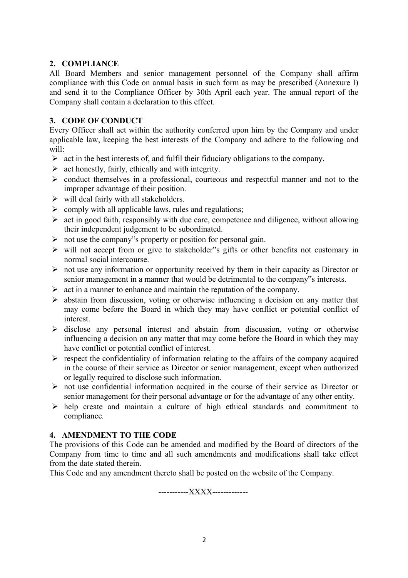#### **2. COMPLIANCE**

All Board Members and senior management personnel of the Company shall affirm compliance with this Code on annual basis in such form as may be prescribed (Annexure I) and send it to the Compliance Officer by 30th April each year. The annual report of the Company shall contain a declaration to this effect.

#### **3. CODE OF CONDUCT**

Every Officer shall act within the authority conferred upon him by the Company and under applicable law, keeping the best interests of the Company and adhere to the following and will:

- $\triangleright$  act in the best interests of, and fulfil their fiduciary obligations to the company.
- $\triangleright$  act honestly, fairly, ethically and with integrity.
- $\triangleright$  conduct themselves in a professional, courteous and respectful manner and not to the improper advantage of their position.
- $\triangleright$  will deal fairly with all stakeholders.
- $\triangleright$  comply with all applicable laws, rules and regulations;
- $\triangleright$  act in good faith, responsibly with due care, competence and diligence, without allowing their independent judgement to be subordinated.
- $\triangleright$  not use the company"s property or position for personal gain.
- $\triangleright$  will not accept from or give to stakeholder"s gifts or other benefits not customary in normal social intercourse.
- $\triangleright$  not use any information or opportunity received by them in their capacity as Director or senior management in a manner that would be detrimental to the company"s interests.
- $\triangleright$  act in a manner to enhance and maintain the reputation of the company.
- $\triangleright$  abstain from discussion, voting or otherwise influencing a decision on any matter that may come before the Board in which they may have conflict or potential conflict of interest.
- $\triangleright$  disclose any personal interest and abstain from discussion, voting or otherwise influencing a decision on any matter that may come before the Board in which they may have conflict or potential conflict of interest.
- $\triangleright$  respect the confidentiality of information relating to the affairs of the company acquired in the course of their service as Director or senior management, except when authorized or legally required to disclose such information.
- $\triangleright$  not use confidential information acquired in the course of their service as Director or senior management for their personal advantage or for the advantage of any other entity.
- $\triangleright$  help create and maintain a culture of high ethical standards and commitment to compliance.

# **4. AMENDMENT TO THE CODE**

The provisions of this Code can be amended and modified by the Board of directors of the Company from time to time and all such amendments and modifications shall take effect from the date stated therein.

This Code and any amendment thereto shall be posted on the website of the Company.